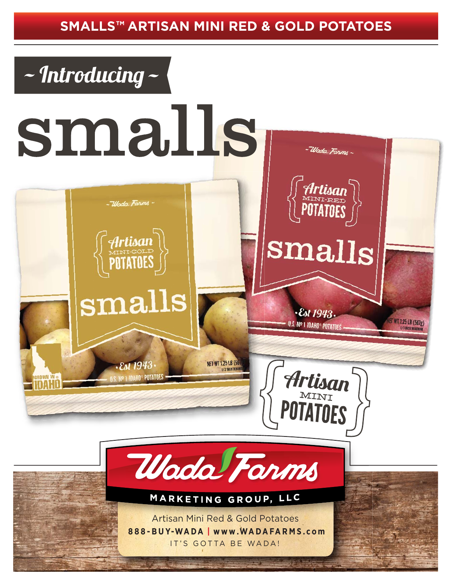## **SMALLS™ ARTISAN MINI RED & GOLD POTATOES**